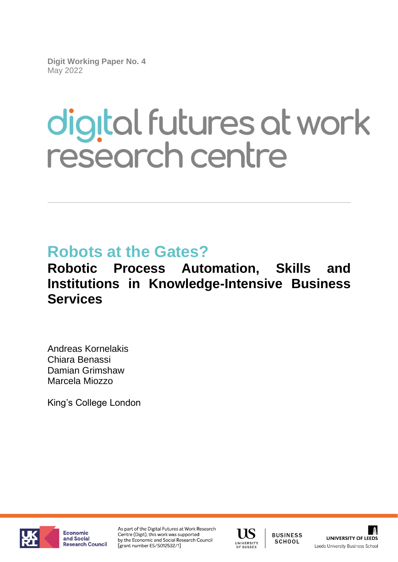**Digit Working Paper No. 4** May 2022

# digital futures at work research centre

## **Robots at the Gates?**

### **Robotic Process Automation, Skills and Institutions in Knowledge-Intensive Business Services**

Andreas Kornelakis Chiara Benassi Damian Grimshaw Marcela Miozzo

King's College London



Economic and Social Research Council As part of the Digital Futures at Work Research Centre (Digit), this work was supported by the Economic and Social Research Council [grant number ES/S012532/1]



**BUSINESS** SCHOOL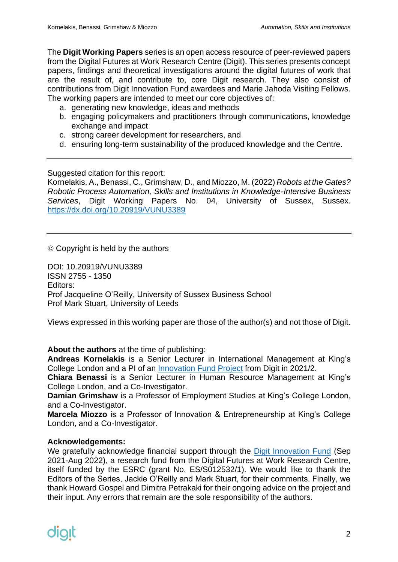The **Digit Working Papers** series is an open access resource of peer-reviewed papers from the Digital Futures at Work Research Centre (Digit). This series presents concept papers, findings and theoretical investigations around the digital futures of work that are the result of, and contribute to, core Digit research. They also consist of contributions from Digit Innovation Fund awardees and Marie Jahoda Visiting Fellows. The working papers are intended to meet our core objectives of:

- a. generating new knowledge, ideas and methods
- b. engaging policymakers and practitioners through communications, knowledge exchange and impact
- c. strong career development for researchers, and
- d. ensuring long-term sustainability of the produced knowledge and the Centre.

Suggested citation for this report:

Kornelakis, A., Benassi, C., Grimshaw, D., and Miozzo, M. (2022) *Robots at the Gates? Robotic Process Automation, Skills and Institutions in Knowledge-Intensive Business Services*, Digit Working Papers No. 04, University of Sussex, Sussex. <https://dx.doi.org/10.20919/VUNU3389>

© Copyright is held by the authors

DOI: 10.20919/VUNU3389 ISSN 2755 - 1350 Editors: Prof Jacqueline O'Reilly, University of Sussex Business School Prof Mark Stuart, University of Leeds

Views expressed in this working paper are those of the author(s) and not those of Digit.

**About the authors** at the time of publishing:

**Andreas Kornelakis** is a Senior Lecturer in International Management at King's College London and a PI of an [Innovation Fund Project](https://digit-research.org/research/innovation-fund/robotic-processes-automation-skills-and-institutions/) from Digit in 2021/2.

**Chiara Benassi** is a Senior Lecturer in Human Resource Management at King's College London, and a Co-Investigator.

**Damian Grimshaw** is a Professor of Employment Studies at King's College London, and a Co-Investigator.

**Marcela Miozzo** is a Professor of Innovation & Entrepreneurship at King's College London, and a Co-Investigator.

#### **Acknowledgements:**

We gratefully acknowledge financial support through the [Digit Innovation Fund](https://digit-research.org/research/innovation-fund/) (Sep 2021-Aug 2022), a research fund from the Digital Futures at Work Research Centre, itself funded by the ESRC (grant No. ES/S012532/1). We would like to thank the Editors of the Series, Jackie O'Reilly and Mark Stuart, for their comments. Finally, we thank Howard Gospel and Dimitra Petrakaki for their ongoing advice on the project and their input. Any errors that remain are the sole responsibility of the authors.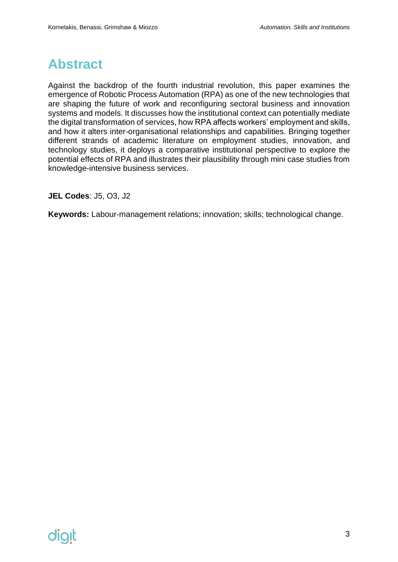#### <span id="page-2-0"></span>**Abstract**

Against the backdrop of the fourth industrial revolution, this paper examines the emergence of Robotic Process Automation (RPA) as one of the new technologies that are shaping the future of work and reconfiguring sectoral business and innovation systems and models. It discusses how the institutional context can potentially mediate the digital transformation of services, how RPA affects workers' employment and skills, and how it alters inter-organisational relationships and capabilities. Bringing together different strands of academic literature on employment studies, innovation, and technology studies, it deploys a comparative institutional perspective to explore the potential effects of RPA and illustrates their plausibility through mini case studies from knowledge-intensive business services.

**JEL Codes**: J5, O3, J2

**Keywords:** Labour-management relations; innovation; skills; technological change.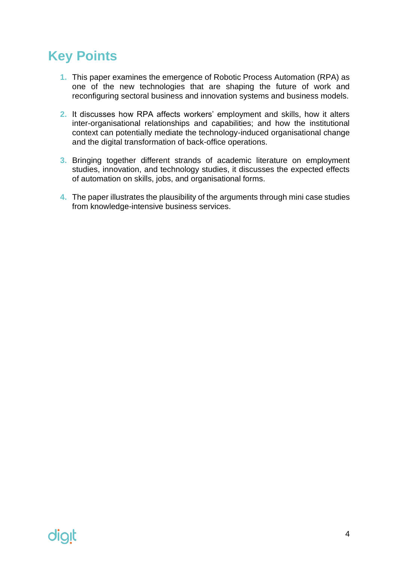### <span id="page-3-0"></span>**Key Points**

- **1.** This paper examines the emergence of Robotic Process Automation (RPA) as one of the new technologies that are shaping the future of work and reconfiguring sectoral business and innovation systems and business models.
- **2.** It discusses how RPA affects workers' employment and skills, how it alters inter-organisational relationships and capabilities; and how the institutional context can potentially mediate the technology-induced organisational change and the digital transformation of back-office operations.
- **3.** Bringing together different strands of academic literature on employment studies, innovation, and technology studies, it discusses the expected effects of automation on skills, jobs, and organisational forms.
- **4.** The paper illustrates the plausibility of the arguments through mini case studies from knowledge-intensive business services.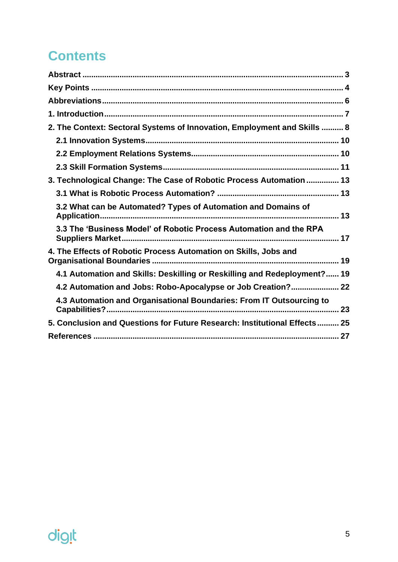## **Contents**

| 2. The Context: Sectoral Systems of Innovation, Employment and Skills  8  |
|---------------------------------------------------------------------------|
|                                                                           |
|                                                                           |
|                                                                           |
| 3. Technological Change: The Case of Robotic Process Automation  13       |
|                                                                           |
| 3.2 What can be Automated? Types of Automation and Domains of             |
| 3.3 The 'Business Model' of Robotic Process Automation and the RPA        |
| 4. The Effects of Robotic Process Automation on Skills, Jobs and          |
| 4.1 Automation and Skills: Deskilling or Reskilling and Redeployment? 19  |
| 4.2 Automation and Jobs: Robo-Apocalypse or Job Creation? 22              |
| 4.3 Automation and Organisational Boundaries: From IT Outsourcing to      |
| 5. Conclusion and Questions for Future Research: Institutional Effects 25 |
|                                                                           |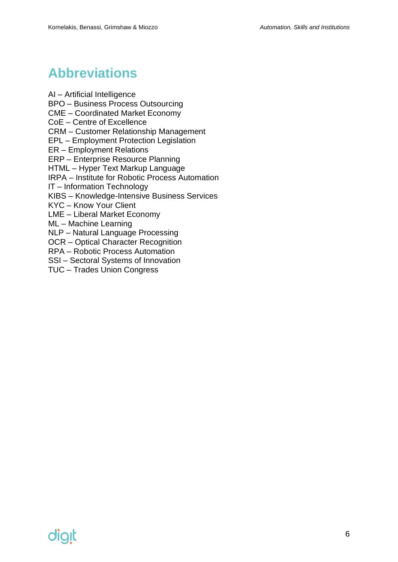### <span id="page-5-0"></span>**Abbreviations**

AI – Artificial Intelligence

BPO – Business Process Outsourcing

CME – Coordinated Market Economy

CoE – Centre of Excellence

CRM – Customer Relationship Management

EPL – Employment Protection Legislation

ER – Employment Relations

ERP – Enterprise Resource Planning

HTML – Hyper Text Markup Language

IRPA – Institute for Robotic Process Automation

IT – Information Technology

KIBS – Knowledge-Intensive Business Services

KYC – Know Your Client

LME – Liberal Market Economy

ML – Machine Learning

NLP – Natural Language Processing

OCR – Optical Character Recognition

RPA – Robotic Process Automation

SSI – Sectoral Systems of Innovation

TUC – Trades Union Congress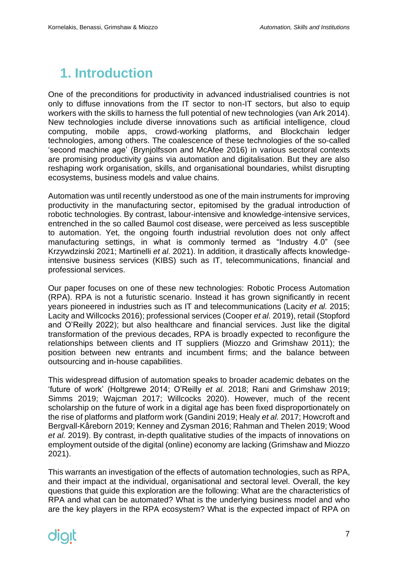### <span id="page-6-0"></span>**1. Introduction**

One of the preconditions for productivity in advanced industrialised countries is not only to diffuse innovations from the IT sector to non-IT sectors, but also to equip workers with the skills to harness the full potential of new technologies (van Ark 2014). New technologies include diverse innovations such as artificial intelligence, cloud computing, mobile apps, crowd-working platforms, and Blockchain ledger technologies, among others. The coalescence of these technologies of the so-called 'second machine age' (Brynjolfsson and McAfee 2016) in various sectoral contexts are promising productivity gains via automation and digitalisation. But they are also reshaping work organisation, skills, and organisational boundaries, whilst disrupting ecosystems, business models and value chains.

Automation was until recently understood as one of the main instruments for improving productivity in the manufacturing sector, epitomised by the gradual introduction of robotic technologies. By contrast, labour-intensive and knowledge-intensive services, entrenched in the so called Baumol cost disease, were perceived as less susceptible to automation. Yet, the ongoing fourth industrial revolution does not only affect manufacturing settings, in what is commonly termed as "Industry 4.0" (see Krzywdzinski 2021; Martinelli *et al.* 2021). In addition, it drastically affects knowledgeintensive business services (KIBS) such as IT, telecommunications, financial and professional services.

Our paper focuses on one of these new technologies: Robotic Process Automation (RPA). RPA is not a futuristic scenario. Instead it has grown significantly in recent years pioneered in industries such as IT and telecommunications (Lacity *et al.* 2015; Lacity and Willcocks 2016); professional services (Cooper *et al.* 2019), retail (Stopford and O'Reilly 2022); but also healthcare and financial services. Just like the digital transformation of the previous decades, RPA is broadly expected to reconfigure the relationships between clients and IT suppliers (Miozzo and Grimshaw 2011); the position between new entrants and incumbent firms; and the balance between outsourcing and in-house capabilities.

This widespread diffusion of automation speaks to broader academic debates on the 'future of work' (Holtgrewe 2014; O'Reilly *et al.* 2018; Rani and Grimshaw 2019; Simms 2019; Wajcman 2017; Willcocks 2020). However, much of the recent scholarship on the future of work in a digital age has been fixed disproportionately on the rise of platforms and platform work (Gandini 2019; Healy *et al.* 2017; Howcroft and Bergvall-Kåreborn 2019; Kenney and Zysman 2016; Rahman and Thelen 2019; Wood *et al.* 2019). By contrast, in-depth qualitative studies of the impacts of innovations on employment outside of the digital (online) economy are lacking (Grimshaw and Miozzo 2021).

This warrants an investigation of the effects of automation technologies, such as RPA, and their impact at the individual, organisational and sectoral level. Overall, the key questions that guide this exploration are the following: What are the characteristics of RPA and what can be automated? What is the underlying business model and who are the key players in the RPA ecosystem? What is the expected impact of RPA on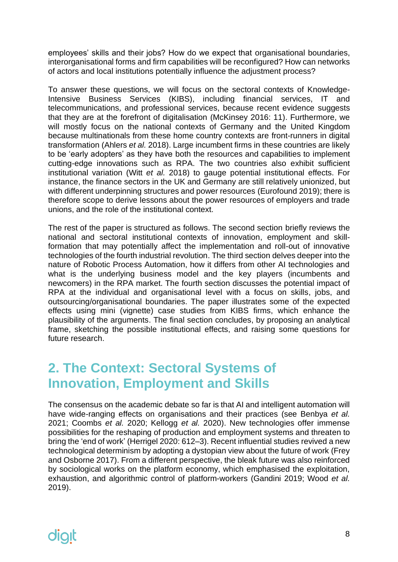employees' skills and their jobs? How do we expect that organisational boundaries, interorganisational forms and firm capabilities will be reconfigured? How can networks of actors and local institutions potentially influence the adjustment process?

To answer these questions, we will focus on the sectoral contexts of Knowledge-Intensive Business Services (KIBS), including financial services, IT and telecommunications, and professional services, because recent evidence suggests that they are at the forefront of digitalisation (McKinsey 2016: 11). Furthermore, we will mostly focus on the national contexts of Germany and the United Kingdom because multinationals from these home country contexts are front-runners in digital transformation (Ahlers *et al.* 2018). Large incumbent firms in these countries are likely to be 'early adopters' as they have both the resources and capabilities to implement cutting-edge innovations such as RPA. The two countries also exhibit sufficient institutional variation (Witt *et al.* 2018) to gauge potential institutional effects. For instance, the finance sectors in the UK and Germany are still relatively unionized, but with different underpinning structures and power resources (Eurofound 2019); there is therefore scope to derive lessons about the power resources of employers and trade unions, and the role of the institutional context.

The rest of the paper is structured as follows. The second section briefly reviews the national and sectoral institutional contexts of innovation, employment and skillformation that may potentially affect the implementation and roll-out of innovative technologies of the fourth industrial revolution. The third section delves deeper into the nature of Robotic Process Automation, how it differs from other AI technologies and what is the underlying business model and the key players (incumbents and newcomers) in the RPA market. The fourth section discusses the potential impact of RPA at the individual and organisational level with a focus on skills, jobs, and outsourcing/organisational boundaries. The paper illustrates some of the expected effects using mini (vignette) case studies from KIBS firms, which enhance the plausibility of the arguments. The final section concludes, by proposing an analytical frame, sketching the possible institutional effects, and raising some questions for future research.

#### <span id="page-7-0"></span>**2. The Context: Sectoral Systems of Innovation, Employment and Skills**

The consensus on the academic debate so far is that AI and intelligent automation will have wide-ranging effects on organisations and their practices (see Benbya *et al.* 2021; Coombs *et al.* 2020; Kellogg *et al.* 2020). New technologies offer immense possibilities for the reshaping of production and employment systems and threaten to bring the 'end of work' (Herrigel 2020: 612–3). Recent influential studies revived a new technological determinism by adopting a dystopian view about the future of work (Frey and Osborne 2017). From a different perspective, the bleak future was also reinforced by sociological works on the platform economy, which emphasised the exploitation, exhaustion, and algorithmic control of platform-workers (Gandini 2019; Wood *et al.* 2019).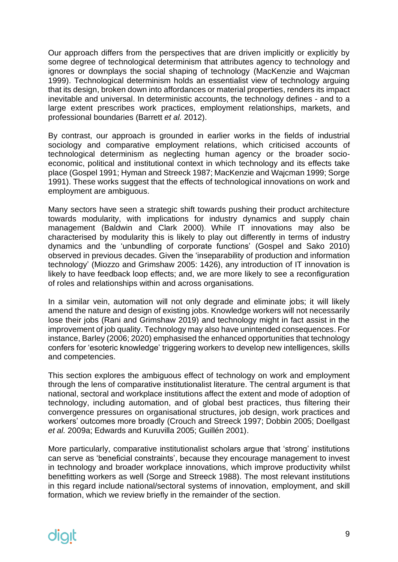Our approach differs from the perspectives that are driven implicitly or explicitly by some degree of technological determinism that attributes agency to technology and ignores or downplays the social shaping of technology (MacKenzie and Wajcman 1999). Technological determinism holds an essentialist view of technology arguing that its design, broken down into affordances or material properties, renders its impact inevitable and universal. In deterministic accounts, the technology defines - and to a large extent prescribes work practices, employment relationships, markets, and professional boundaries (Barrett *et al.* 2012).

By contrast, our approach is grounded in earlier works in the fields of industrial sociology and comparative employment relations, which criticised accounts of technological determinism as neglecting human agency or the broader socioeconomic, political and institutional context in which technology and its effects take place (Gospel 1991; Hyman and Streeck 1987; MacKenzie and Wajcman 1999; Sorge 1991). These works suggest that the effects of technological innovations on work and employment are ambiguous.

Many sectors have seen a strategic shift towards pushing their product architecture towards modularity, with implications for industry dynamics and supply chain management (Baldwin and Clark 2000). While IT innovations may also be characterised by modularity this is likely to play out differently in terms of industry dynamics and the 'unbundling of corporate functions' (Gospel and Sako 2010) observed in previous decades. Given the 'inseparability of production and information technology' (Miozzo and Grimshaw 2005: 1426), any introduction of IT innovation is likely to have feedback loop effects; and, we are more likely to see a reconfiguration of roles and relationships within and across organisations.

In a similar vein, automation will not only degrade and eliminate jobs; it will likely amend the nature and design of existing jobs. Knowledge workers will not necessarily lose their jobs (Rani and Grimshaw 2019) and technology might in fact assist in the improvement of job quality. Technology may also have unintended consequences. For instance, Barley (2006; 2020) emphasised the enhanced opportunities that technology confers for 'esoteric knowledge' triggering workers to develop new intelligences, skills and competencies.

This section explores the ambiguous effect of technology on work and employment through the lens of comparative institutionalist literature. The central argument is that national, sectoral and workplace institutions affect the extent and mode of adoption of technology, including automation, and of global best practices, thus filtering their convergence pressures on organisational structures, job design, work practices and workers' outcomes more broadly (Crouch and Streeck 1997; Dobbin 2005; Doellgast *et al.* 2009a; Edwards and Kuruvilla 2005; Guillén 2001).

More particularly, comparative institutionalist scholars argue that 'strong' institutions can serve as 'beneficial constraints', because they encourage management to invest in technology and broader workplace innovations, which improve productivity whilst benefitting workers as well (Sorge and Streeck 1988). The most relevant institutions in this regard include national/sectoral systems of innovation, employment, and skill formation, which we review briefly in the remainder of the section.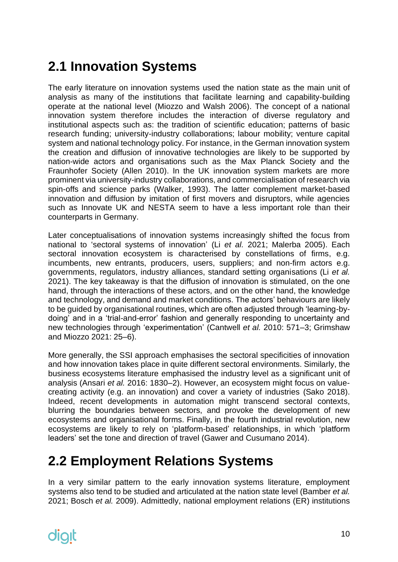## <span id="page-9-0"></span>**2.1 Innovation Systems**

The early literature on innovation systems used the nation state as the main unit of analysis as many of the institutions that facilitate learning and capability-building operate at the national level (Miozzo and Walsh 2006). The concept of a national innovation system therefore includes the interaction of diverse regulatory and institutional aspects such as: the tradition of scientific education; patterns of basic research funding; university-industry collaborations; labour mobility; venture capital system and national technology policy. For instance, in the German innovation system the creation and diffusion of innovative technologies are likely to be supported by nation-wide actors and organisations such as the Max Planck Society and the Fraunhofer Society (Allen 2010). In the UK innovation system markets are more prominent via university-industry collaborations, and commercialisation of research via spin-offs and science parks (Walker, 1993). The latter complement market-based innovation and diffusion by imitation of first movers and disruptors, while agencies such as Innovate UK and NESTA seem to have a less important role than their counterparts in Germany.

Later conceptualisations of innovation systems increasingly shifted the focus from national to 'sectoral systems of innovation' (Li *et al.* 2021; Malerba 2005). Each sectoral innovation ecosystem is characterised by constellations of firms, e.g. incumbents, new entrants, producers, users, suppliers; and non-firm actors e.g. governments, regulators, industry alliances, standard setting organisations (Li *et al.* 2021). The key takeaway is that the diffusion of innovation is stimulated, on the one hand, through the interactions of these actors, and on the other hand, the knowledge and technology, and demand and market conditions. The actors' behaviours are likely to be guided by organisational routines, which are often adjusted through 'learning-bydoing' and in a 'trial-and-error' fashion and generally responding to uncertainty and new technologies through 'experimentation' (Cantwell *et al.* 2010: 571–3; Grimshaw and Miozzo 2021: 25–6).

More generally, the SSI approach emphasises the sectoral specificities of innovation and how innovation takes place in quite different sectoral environments. Similarly, the business ecosystems literature emphasised the industry level as a significant unit of analysis (Ansari *et al.* 2016: 1830–2). However, an ecosystem might focus on valuecreating activity (e.g. an innovation) and cover a variety of industries (Sako 2018). Indeed, recent developments in automation might transcend sectoral contexts, blurring the boundaries between sectors, and provoke the development of new ecosystems and organisational forms. Finally, in the fourth industrial revolution, new ecosystems are likely to rely on 'platform-based' relationships, in which 'platform leaders' set the tone and direction of travel (Gawer and Cusumano 2014).

#### <span id="page-9-1"></span>**2.2 Employment Relations Systems**

In a very similar pattern to the early innovation systems literature, employment systems also tend to be studied and articulated at the nation state level (Bamber *et al.* 2021; Bosch *et al.* 2009). Admittedly, national employment relations (ER) institutions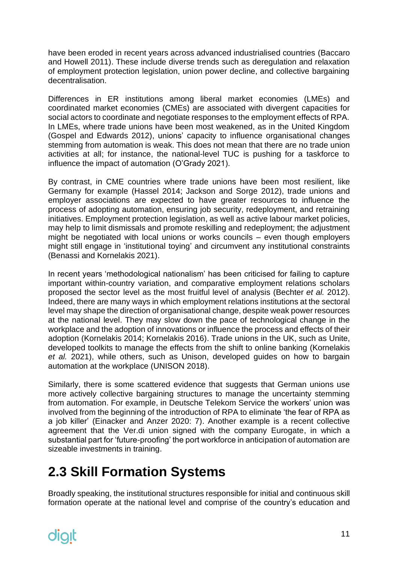have been eroded in recent years across advanced industrialised countries (Baccaro and Howell 2011). These include diverse trends such as deregulation and relaxation of employment protection legislation, union power decline, and collective bargaining decentralisation.

Differences in ER institutions among liberal market economies (LMEs) and coordinated market economies (CMEs) are associated with divergent capacities for social actors to coordinate and negotiate responses to the employment effects of RPA. In LMEs, where trade unions have been most weakened, as in the United Kingdom (Gospel and Edwards 2012), unions' capacity to influence organisational changes stemming from automation is weak. This does not mean that there are no trade union activities at all; for instance, the national-level TUC is pushing for a taskforce to influence the impact of automation (O'Grady 2021).

By contrast, in CME countries where trade unions have been most resilient, like Germany for example (Hassel 2014; Jackson and Sorge 2012), trade unions and employer associations are expected to have greater resources to influence the process of adopting automation, ensuring job security, redeployment, and retraining initiatives. Employment protection legislation, as well as active labour market policies, may help to limit dismissals and promote reskilling and redeployment; the adjustment might be negotiated with local unions or works councils – even though employers might still engage in 'institutional toying' and circumvent any institutional constraints (Benassi and Kornelakis 2021).

In recent years 'methodological nationalism' has been criticised for failing to capture important within-country variation, and comparative employment relations scholars proposed the sector level as the most fruitful level of analysis (Bechter *et al.* 2012). Indeed, there are many ways in which employment relations institutions at the sectoral level may shape the direction of organisational change, despite weak power resources at the national level. They may slow down the pace of technological change in the workplace and the adoption of innovations or influence the process and effects of their adoption (Kornelakis 2014; Kornelakis 2016). Trade unions in the UK, such as Unite, developed toolkits to manage the effects from the shift to online banking (Kornelakis *et al.* 2021), while others, such as Unison, developed guides on how to bargain automation at the workplace (UNISON 2018).

Similarly, there is some scattered evidence that suggests that German unions use more actively collective bargaining structures to manage the uncertainty stemming from automation. For example, in Deutsche Telekom Service the workers' union was involved from the beginning of the introduction of RPA to eliminate 'the fear of RPA as a job killer' (Einacker and Anzer 2020: 7). Another example is a recent collective agreement that the Ver.di union signed with the company Eurogate, in which a substantial part for 'future-proofing' the port workforce in anticipation of automation are sizeable investments in training.

### <span id="page-10-0"></span>**2.3 Skill Formation Systems**

Broadly speaking, the institutional structures responsible for initial and continuous skill formation operate at the national level and comprise of the country's education and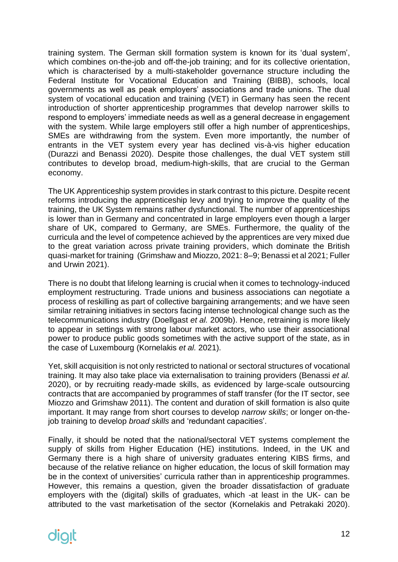training system. The German skill formation system is known for its 'dual system', which combines on-the-job and off-the-job training; and for its collective orientation, which is characterised by a multi-stakeholder governance structure including the Federal Institute for Vocational Education and Training (BIBB), schools, local governments as well as peak employers' associations and trade unions. The dual system of vocational education and training (VET) in Germany has seen the recent introduction of shorter apprenticeship programmes that develop narrower skills to respond to employers' immediate needs as well as a general decrease in engagement with the system. While large employers still offer a high number of apprenticeships, SMEs are withdrawing from the system. Even more importantly, the number of entrants in the VET system every year has declined vis-à-vis higher education (Durazzi and Benassi 2020). Despite those challenges, the dual VET system still contributes to develop broad, medium-high-skills, that are crucial to the German economy.

The UK Apprenticeship system provides in stark contrast to this picture. Despite recent reforms introducing the apprenticeship levy and trying to improve the quality of the training, the UK System remains rather dysfunctional. The number of apprenticeships is lower than in Germany and concentrated in large employers even though a larger share of UK, compared to Germany, are SMEs. Furthermore, the quality of the curricula and the level of competence achieved by the apprentices are very mixed due to the great variation across private training providers, which dominate the British quasi-market for training (Grimshaw and Miozzo, 2021: 8–9; Benassi et al 2021; Fuller and Urwin 2021).

There is no doubt that lifelong learning is crucial when it comes to technology-induced employment restructuring. Trade unions and business associations can negotiate a process of reskilling as part of collective bargaining arrangements; and we have seen similar retraining initiatives in sectors facing intense technological change such as the telecommunications industry (Doellgast *et al.* 2009b). Hence, retraining is more likely to appear in settings with strong labour market actors, who use their associational power to produce public goods sometimes with the active support of the state, as in the case of Luxembourg (Kornelakis *et al.* 2021).

Yet, skill acquisition is not only restricted to national or sectoral structures of vocational training. It may also take place via externalisation to training providers (Benassi *et al.* 2020), or by recruiting ready-made skills, as evidenced by large-scale outsourcing contracts that are accompanied by programmes of staff transfer (for the IT sector, see Miozzo and Grimshaw 2011). The content and duration of skill formation is also quite important. It may range from short courses to develop *narrow skills*; or longer on-thejob training to develop *broad skills* and 'redundant capacities'.

Finally, it should be noted that the national/sectoral VET systems complement the supply of skills from Higher Education (HE) institutions. Indeed, in the UK and Germany there is a high share of university graduates entering KIBS firms, and because of the relative reliance on higher education, the locus of skill formation may be in the context of universities' curricula rather than in apprenticeship programmes. However, this remains a question, given the broader dissatisfaction of graduate employers with the (digital) skills of graduates, which -at least in the UK- can be attributed to the vast marketisation of the sector (Kornelakis and Petrakaki 2020).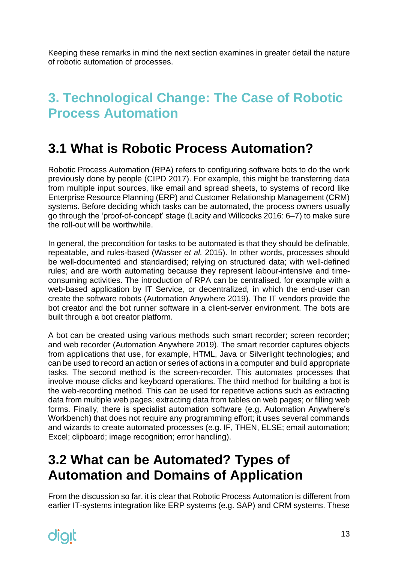Keeping these remarks in mind the next section examines in greater detail the nature of robotic automation of processes.

### <span id="page-12-0"></span>**3. Technological Change: The Case of Robotic Process Automation**

#### <span id="page-12-1"></span>**3.1 What is Robotic Process Automation?**

Robotic Process Automation (RPA) refers to configuring software bots to do the work previously done by people (CIPD 2017). For example, this might be transferring data from multiple input sources, like email and spread sheets, to systems of record like Enterprise Resource Planning (ERP) and Customer Relationship Management (CRM) systems. Before deciding which tasks can be automated, the process owners usually go through the 'proof-of-concept' stage (Lacity and Willcocks 2016: 6–7) to make sure the roll-out will be worthwhile.

In general, the precondition for tasks to be automated is that they should be definable, repeatable, and rules-based (Wasser *et al.* 2015). In other words, processes should be well-documented and standardised; relying on structured data; with well-defined rules; and are worth automating because they represent labour-intensive and timeconsuming activities. The introduction of RPA can be centralised*,* for example with a web-based application by IT Service, or decentralized*,* in which the end-user can create the software robots (Automation Anywhere 2019). The IT vendors provide the bot creator and the bot runner software in a client-server environment. The bots are built through a bot creator platform.

A bot can be created using various methods such smart recorder; screen recorder; and web recorder (Automation Anywhere 2019). The smart recorder captures objects from applications that use, for example, HTML, Java or Silverlight technologies; and can be used to record an action or series of actions in a computer and build appropriate tasks. The second method is the screen-recorder. This automates processes that involve mouse clicks and keyboard operations. The third method for building a bot is the web-recording method. This can be used for repetitive actions such as extracting data from multiple web pages; extracting data from tables on web pages; or filling web forms. Finally, there is specialist automation software (e.g. Automation Anywhere's Workbench) that does not require any programming effort; it uses several commands and wizards to create automated processes (e.g. IF, THEN, ELSE; email automation; Excel; clipboard; image recognition; error handling).

### <span id="page-12-2"></span>**3.2 What can be Automated? Types of Automation and Domains of Application**

From the discussion so far, it is clear that Robotic Process Automation is different from earlier IT-systems integration like ERP systems (e.g. SAP) and CRM systems. These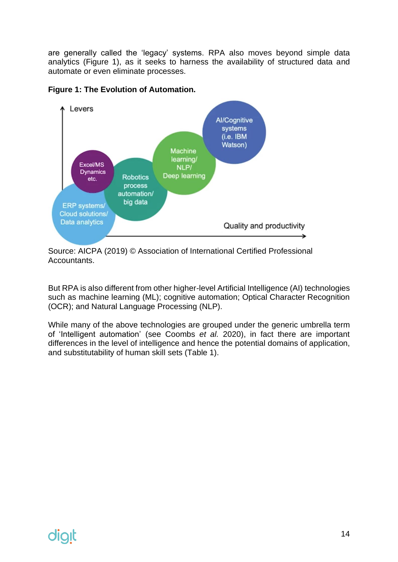are generally called the 'legacy' systems. RPA also moves beyond simple data analytics (Figure 1), as it seeks to harness the availability of structured data and automate or even eliminate processes.





Source: AICPA (2019) © Association of International Certified Professional Accountants.

But RPA is also different from other higher-level Artificial Intelligence (AI) technologies such as machine learning (ML); cognitive automation; Optical Character Recognition (OCR); and Natural Language Processing (NLP).

While many of the above technologies are grouped under the generic umbrella term of 'Intelligent automation' (see Coombs *et al.* 2020), in fact there are important differences in the level of intelligence and hence the potential domains of application, and substitutability of human skill sets (Table 1).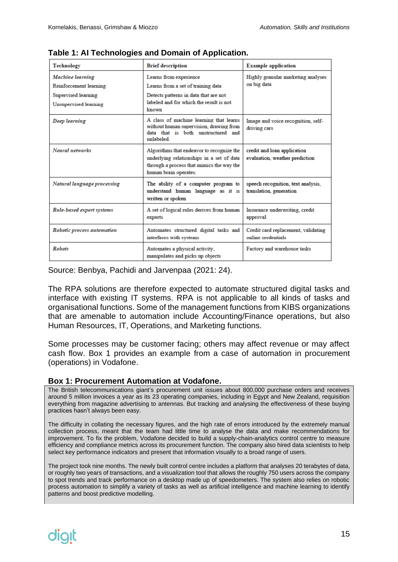| Technology                                                                                        | <b>Brief description</b>                                                                                                                                                                                                      | <b>Example application</b>                                    |
|---------------------------------------------------------------------------------------------------|-------------------------------------------------------------------------------------------------------------------------------------------------------------------------------------------------------------------------------|---------------------------------------------------------------|
| Machine learning<br>Reinforcement learning<br><b>Supervised learning</b><br>Unsupervised learning | Learns from experience<br>Learns from a set of training data<br>Detects patterns in data that are not<br>labeled and for which the result is not<br>known                                                                     | Highly granular marketing analyses<br>on big data             |
| Deep learning                                                                                     | A class of machine learning that learns<br>Image and voice recognition, self-<br>without human supervision, drawing from<br>driving cars<br>data that is both unstructured and<br>unlabeled                                   |                                                               |
| Neural networks                                                                                   | Algorithms that endeavor to recognize the<br>credit and loan application<br>underlying relationships in a set of data<br>evaluation, weather prediction<br>through a process that mimics the way the<br>human brain operates. |                                                               |
| Natural language processing                                                                       | The ability of a computer program to<br>understand human language as it is<br>written or spoken                                                                                                                               | speech recognition, text analysis,<br>translation, generation |
| Rule-based expert systems                                                                         | A set of logical rules derives from human<br>experts                                                                                                                                                                          | Insurance underwriting, credit<br>approval                    |
| Robotic process automation                                                                        | Automates structured digital tasks and<br>interfaces with systems                                                                                                                                                             | Credit card replacement, validating<br>online credentials     |
| <b>Robots</b>                                                                                     | Automates a physical activity,<br>Factory and warehouse tasks<br>manipulates and picks up objects                                                                                                                             |                                                               |

**Table 1: AI Technologies and Domain of Application.**

Source: Benbya, Pachidi and Jarvenpaa (2021: 24).

The RPA solutions are therefore expected to automate structured digital tasks and interface with existing IT systems. RPA is not applicable to all kinds of tasks and organisational functions. Some of the management functions from KIBS organizations that are amenable to automation include Accounting/Finance operations, but also Human Resources, IT, Operations, and Marketing functions.

Some processes may be customer facing; others may affect revenue or may affect cash flow. Box 1 provides an example from a case of automation in procurement (operations) in Vodafone.

#### **Box 1: Procurement Automation at Vodafone.**

The British telecommunications giant's procurement unit issues about 800,000 purchase orders and receives around 5 million invoices a year as its 23 operating companies, including in Egypt and New Zealand, requisition everything from magazine advertising to antennas. But tracking and analysing the effectiveness of these buying practices hasn't always been easy.

The difficulty in collating the necessary figures, and the high rate of errors introduced by the extremely manual collection process, meant that the team had little time to analyse the data and make recommendations for improvement. To fix the problem, Vodafone decided to build a supply-chain-analytics control centre to measure efficiency and compliance metrics across its procurement function. The company also hired data scientists to help select key performance indicators and present that information visually to a broad range of users.

The project took nine months. The newly built control centre includes a platform that analyses 20 terabytes of data, or roughly two years of transactions, and a visualization tool that allows the roughly 750 users across the company to spot trends and track performance on a desktop made up of speedometers. The system also relies on robotic process automation to simplify a variety of tasks as well as artificial intelligence and machine learning to identify patterns and boost predictive modelling.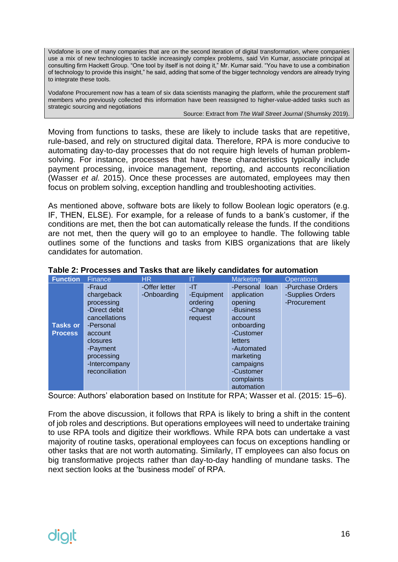Vodafone is one of many companies that are on the second iteration of digital transformation, where companies use a mix of new technologies to tackle increasingly complex problems, said Vin Kumar, associate principal at consulting firm Hackett Group. "One tool by itself is not doing it," Mr. Kumar said. "You have to use a combination of technology to provide this insight," he said, adding that some of the bigger technology vendors are already trying to integrate these tools.

Vodafone Procurement now has a team of six data scientists managing the platform, while the procurement staff members who previously collected this information have been reassigned to higher-value-added tasks such as strategic sourcing and negotiations

#### Source: Extract from *The Wall Street Journal* (Shumsky 2019).

Moving from functions to tasks, these are likely to include tasks that are repetitive, rule-based, and rely on structured digital data. Therefore, RPA is more conducive to automating day-to-day processes that do not require high levels of human problemsolving. For instance, processes that have these characteristics typically include payment processing, invoice management, reporting, and accounts reconciliation (Wasser *et al.* 2015). Once these processes are automated, employees may then focus on problem solving, exception handling and troubleshooting activities.

As mentioned above, software bots are likely to follow Boolean logic operators (e.g. IF, THEN, ELSE). For example, for a release of funds to a bank's customer, if the conditions are met, then the bot can automatically release the funds. If the conditions are not met, then the query will go to an employee to handle. The following table outlines some of the functions and tasks from KIBS organizations that are likely candidates for automation.

| <b>Function</b>                   | Finance                                                                                                                                                               | <b>HR</b>                    |                                                     | Marketing                                                                                                                                                                               | <b>Operations</b>                                    |
|-----------------------------------|-----------------------------------------------------------------------------------------------------------------------------------------------------------------------|------------------------------|-----------------------------------------------------|-----------------------------------------------------------------------------------------------------------------------------------------------------------------------------------------|------------------------------------------------------|
| <b>Tasks or</b><br><b>Process</b> | -Fraud<br>chargeback<br>processing<br>-Direct debit<br>cancellations<br>-Personal<br>account<br>closures<br>-Payment<br>processing<br>-Intercompany<br>reconciliation | -Offer letter<br>-Onboarding | -IT<br>-Equipment<br>ordering<br>-Change<br>request | -Personal loan<br>application<br>opening<br>-Business<br>account<br>onboarding<br>-Customer<br>letters<br>-Automated<br>marketing<br>campaigns<br>-Customer<br>complaints<br>automation | -Purchase Orders<br>-Supplies Orders<br>-Procurement |

#### **Table 2: Processes and Tasks that are likely candidates for automation**

Source: Authors' elaboration based on Institute for RPA; Wasser et al. (2015: 15–6).

From the above discussion, it follows that RPA is likely to bring a shift in the content of job roles and descriptions. But operations employees will need to undertake training to use RPA tools and digitize their workflows. While RPA bots can undertake a vast majority of routine tasks, operational employees can focus on exceptions handling or other tasks that are not worth automating. Similarly, IT employees can also focus on big transformative projects rather than day-to-day handling of mundane tasks. The next section looks at the 'business model' of RPA.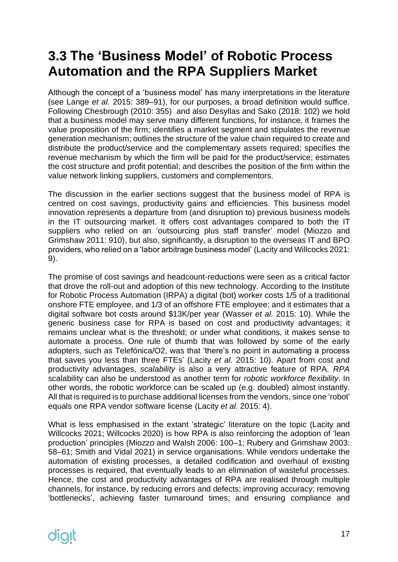## <span id="page-16-0"></span>**3.3 The 'Business Model' of Robotic Process Automation and the RPA Suppliers Market**

Although the concept of a 'business model' has many interpretations in the literature (see Lange *et al.* 2015: 389–91), for our purposes, a broad definition would suffice. Following Chesbrough (2010: 355) and also Desyllas and Sako (2018: 102) we hold that a business model may serve many different functions, for instance, it frames the value proposition of the firm; identifies a market segment and stipulates the revenue generation mechanism; outlines the structure of the value chain required to create and distribute the product/service and the complementary assets required; specifies the revenue mechanism by which the firm will be paid for the product/service; estimates the cost structure and profit potential; and describes the position of the firm within the value network linking suppliers, customers and complementors.

The discussion in the earlier sections suggest that the business model of RPA is centred on cost savings, productivity gains and efficiencies. This business model innovation represents a departure from (and disruption to) previous business models in the IT outsourcing market. It offers cost advantages compared to both the IT suppliers who relied on an 'outsourcing plus staff transfer' model (Miozzo and Grimshaw 2011: 910), but also, significantly, a disruption to the overseas IT and BPO providers, who relied on a 'labor arbitrage business model' (Lacity and Willcocks 2021: 9).

The promise of cost savings and headcount-reductions were seen as a critical factor that drove the roll-out and adoption of this new technology. According to the Institute for Robotic Process Automation (IRPA) a digital (bot) worker costs 1/5 of a traditional onshore FTE employee, and 1/3 of an offshore FTE employee; and it estimates that a digital software bot costs around \$13K/per year (Wasser *et al.* 2015: 10). While the generic business case for RPA is based on cost and productivity advantages; it remains unclear what is the threshold; or under what conditions, it makes sense to automate a process. One rule of thumb that was followed by some of the early adopters, such as Telefónica/O2, was that 'there's no point in automating a process that saves you less than three FTEs' (Lacity *et al.* 2015: 10). Apart from cost and productivity advantages, *scalability* is also a very attractive feature of RPA. *RPA* scalability can also be understood as another term for *robotic workforce flexibility*. In other words, the robotic workforce can be scaled up (e.g. doubled) almost instantly. All that is required is to purchase additional licenses from the vendors, since one 'robot' equals one RPA vendor software license (Lacity *et al.* 2015: 4).

What is less emphasised in the extant 'strategic' literature on the topic (Lacity and Willcocks 2021; Willcocks 2020) is how RPA is also reinforcing the adoption of 'lean production' principles (Miozzo and Walsh 2006: 100–1; Rubery and Grimshaw 2003: 58–61; Smith and Vidal 2021) in service organisations. While vendors undertake the automation of existing processes, a detailed codification and overhaul of existing processes is required, that eventually leads to an elimination of wasteful processes. Hence, the cost and productivity advantages of RPA are realised through multiple channels, for instance, by reducing errors and defects; improving accuracy; removing 'bottlenecks', achieving faster turnaround times; and ensuring compliance and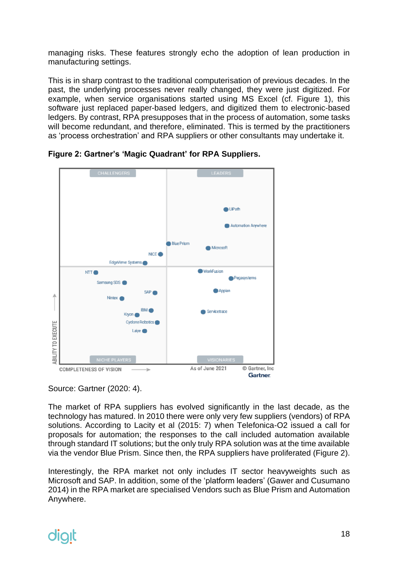managing risks. These features strongly echo the adoption of lean production in manufacturing settings.

This is in sharp contrast to the traditional computerisation of previous decades. In the past, the underlying processes never really changed, they were just digitized. For example, when service organisations started using MS Excel (cf. Figure 1), this software just replaced paper-based ledgers, and digitized them to electronic-based ledgers. By contrast, RPA presupposes that in the process of automation, some tasks will become redundant, and therefore, eliminated. This is termed by the practitioners as 'process orchestration' and RPA suppliers or other consultants may undertake it.



**Figure 2: Gartner's 'Magic Quadrant' for RPA Suppliers.**

Source: Gartner (2020: 4).

The market of RPA suppliers has evolved significantly in the last decade, as the technology has matured. In 2010 there were only very few suppliers (vendors) of RPA solutions. According to Lacity et al (2015: 7) when Telefonica-O2 issued a call for proposals for automation; the responses to the call included automation available through standard IT solutions; but the only truly RPA solution was at the time available via the vendor Blue Prism. Since then, the RPA suppliers have proliferated (Figure 2).

Interestingly, the RPA market not only includes IT sector heavyweights such as Microsoft and SAP. In addition, some of the 'platform leaders' (Gawer and Cusumano 2014) in the RPA market are specialised Vendors such as Blue Prism and Automation Anywhere.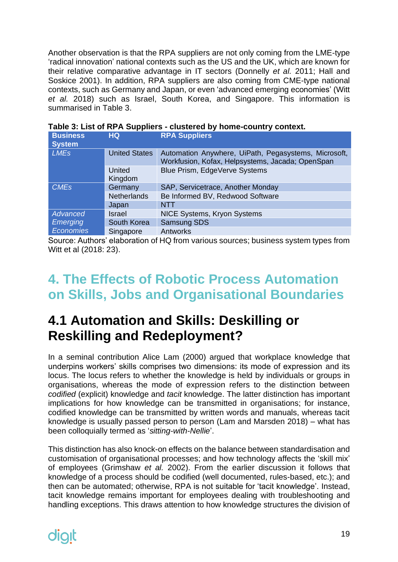Another observation is that the RPA suppliers are not only coming from the LME-type 'radical innovation' national contexts such as the US and the UK, which are known for their relative comparative advantage in IT sectors (Donnelly *et al.* 2011; Hall and Soskice 2001). In addition, RPA suppliers are also coming from CME-type national contexts, such as Germany and Japan, or even 'advanced emerging economies' (Witt *et al.* 2018) such as Israel, South Korea, and Singapore. This information is summarised in Table 3.

| <b>Business</b><br><b>System</b> | HQ.                  | <b>RPA Suppliers</b>                                                                                     |
|----------------------------------|----------------------|----------------------------------------------------------------------------------------------------------|
| <b>LMEs</b>                      | <b>United States</b> | Automation Anywhere, UiPath, Pegasystems, Microsoft,<br>Workfusion, Kofax, Helpsystems, Jacada; OpenSpan |
|                                  | United<br>Kingdom    | Blue Prism, EdgeVerve Systems                                                                            |
| <b>CME<sub>s</sub></b>           | Germany              | SAP, Servicetrace, Another Monday                                                                        |
|                                  | <b>Netherlands</b>   | Be Informed BV, Redwood Software                                                                         |
|                                  | Japan                | <b>NTT</b>                                                                                               |
| Advanced                         | <b>Israel</b>        | <b>NICE Systems, Kryon Systems</b>                                                                       |
| <b>Emerging</b>                  | South Korea          | <b>Samsung SDS</b>                                                                                       |
| Economies                        | Singapore            | Antworks                                                                                                 |

|  | Table 3: List of RPA Suppliers - clustered by home-country context. |
|--|---------------------------------------------------------------------|
|--|---------------------------------------------------------------------|

Source: Authors' elaboration of HQ from various sources; business system types from Witt et al (2018: 23).

#### <span id="page-18-0"></span>**4. The Effects of Robotic Process Automation on Skills, Jobs and Organisational Boundaries**

#### <span id="page-18-1"></span>**4.1 Automation and Skills: Deskilling or Reskilling and Redeployment?**

In a seminal contribution Alice Lam (2000) argued that workplace knowledge that underpins workers' skills comprises two dimensions: its mode of expression and its locus. The locus refers to whether the knowledge is held by individuals or groups in organisations, whereas the mode of expression refers to the distinction between *codified* (explicit) knowledge and *tacit* knowledge. The latter distinction has important implications for how knowledge can be transmitted in organisations; for instance, codified knowledge can be transmitted by written words and manuals, whereas tacit knowledge is usually passed person to person (Lam and Marsden 2018) – what has been colloquially termed as '*sitting-with-Nellie*'.

This distinction has also knock-on effects on the balance between standardisation and customisation of organisational processes; and how technology affects the 'skill mix' of employees (Grimshaw *et al.* 2002). From the earlier discussion it follows that knowledge of a process should be codified (well documented, rules-based, etc.); and then can be automated; otherwise, RPA is not suitable for 'tacit knowledge'. Instead, tacit knowledge remains important for employees dealing with troubleshooting and handling exceptions. This draws attention to how knowledge structures the division of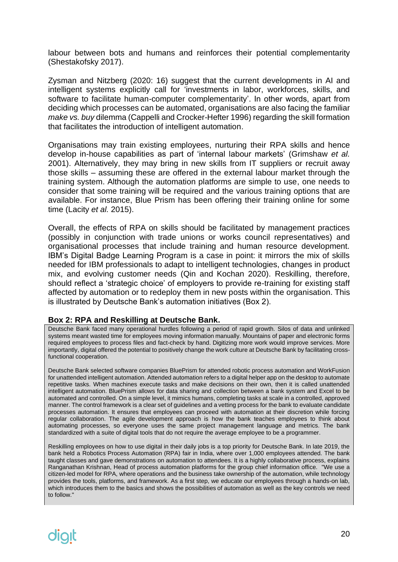labour between bots and humans and reinforces their potential complementarity (Shestakofsky 2017).

Zysman and Nitzberg (2020: 16) suggest that the current developments in AI and intelligent systems explicitly call for 'investments in labor, workforces, skills, and software to facilitate human-computer complementarity'. In other words, apart from deciding which processes can be automated, organisations are also facing the familiar *make vs. buy* dilemma (Cappelli and Crocker-Hefter 1996) regarding the skill formation that facilitates the introduction of intelligent automation.

Organisations may train existing employees, nurturing their RPA skills and hence develop in-house capabilities as part of 'internal labour markets' (Grimshaw *et al.* 2001). Alternatively, they may bring in new skills from IT suppliers or recruit away those skills – assuming these are offered in the external labour market through the training system. Although the automation platforms are simple to use, one needs to consider that some training will be required and the various training options that are available. For instance, Blue Prism has been offering their training online for some time (Lacity *et al.* 2015).

Overall, the effects of RPA on skills should be facilitated by management practices (possibly in conjunction with trade unions or works council representatives) and organisational processes that include training and human resource development. IBM's Digital Badge Learning Program is a case in point: it mirrors the mix of skills needed for IBM professionals to adapt to intelligent technologies, changes in product mix, and evolving customer needs (Qin and Kochan 2020). Reskilling, therefore, should reflect a 'strategic choice' of employers to provide re-training for existing staff affected by automation or to redeploy them in new posts within the organisation. This is illustrated by Deutsche Bank's automation initiatives (Box 2).

#### **Box 2: RPA and Reskilling at Deutsche Bank.**

Deutsche Bank faced many operational hurdles following a period of rapid growth. Silos of data and unlinked systems meant wasted time for employees moving information manually. Mountains of paper and electronic forms required employees to process files and fact-check by hand. Digitizing more work would improve services. More importantly, digital offered the potential to positively change the work culture at Deutsche Bank by facilitating crossfunctional cooperation.

Deutsche Bank selected software companies BluePrism for attended robotic process automation and WorkFusion for unattended intelligent automation. Attended automation refers to a digital helper app on the desktop to automate repetitive tasks. When machines execute tasks and make decisions on their own, then it is called unattended intelligent automation. BluePrism allows for data sharing and collection between a bank system and Excel to be automated and controlled. On a simple level, it mimics humans, completing tasks at scale in a controlled, approved manner. The control framework is a clear set of guidelines and a vetting process for the bank to evaluate candidate processes automation. It ensures that employees can proceed with automation at their discretion while forcing regular collaboration. The agile development approach is how the bank teaches employees to think about automating processes, so everyone uses the same project management language and metrics. The bank standardized with a suite of digital tools that do not require the average employee to be a programmer.

Reskilling employees on how to use digital in their daily jobs is a top priority for Deutsche Bank. In late 2019, the bank held a Robotics Process Automation (RPA) fair in India, where over 1,000 employees attended. The bank taught classes and gave demonstrations on automation to attendees. It is a highly collaborative process, explains Ranganathan Krishnan, Head of process automation platforms for the group chief information office. "We use a citizen-led model for RPA, where operations and the business take ownership of the automation, while technology provides the tools, platforms, and framework. As a first step, we educate our employees through a hands-on lab, which introduces them to the basics and shows the possibilities of automation as well as the key controls we need to follow."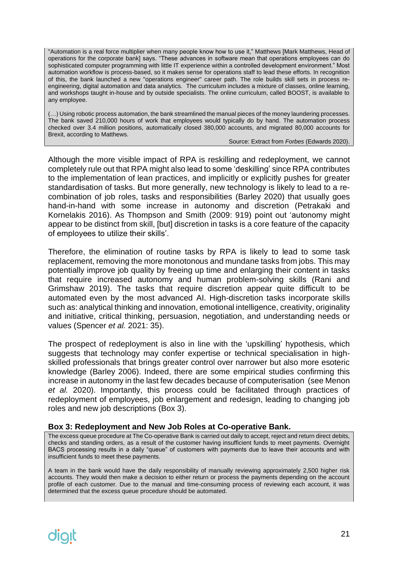"Automation is a real force multiplier when many people know how to use it," Matthews [Mark Matthews, Head of operations for the corporate bank] says. "These advances in software mean that operations employees can do sophisticated computer programming with little IT experience within a controlled development environment." Most automation workflow is process-based, so it makes sense for operations staff to lead these efforts. In recognition of this, the bank launched a new "operations engineer" career path. The role builds skill sets in process reengineering, digital automation and data analytics. The curriculum includes a mixture of classes, online learning, and workshops taught in-house and by outside specialists. The online curriculum, called BOOST, is available to any employee.

(…) Using robotic process automation, the bank streamlined the manual pieces of the money laundering processes. The bank saved 210,000 hours of work that employees would typically do by hand. The automation process checked over 3.4 million positions, automatically closed 380,000 accounts, and migrated 80,000 accounts for Brexit, according to Matthews.

Source: Extract from *Forbes* (Edwards 2020).

Although the more visible impact of RPA is reskilling and redeployment, we cannot completely rule out that RPA might also lead to some 'deskilling' since RPA contributes to the implementation of lean practices, and implicitly or explicitly pushes for greater standardisation of tasks. But more generally, new technology is likely to lead to a recombination of job roles, tasks and responsibilities (Barley 2020) that usually goes hand-in-hand with some increase in autonomy and discretion (Petrakaki and Kornelakis 2016). As Thompson and Smith (2009: 919) point out 'autonomy might appear to be distinct from skill, [but] discretion in tasks is a core feature of the capacity of employees to utilize their skills'.

Therefore, the elimination of routine tasks by RPA is likely to lead to some task replacement, removing the more monotonous and mundane tasks from jobs. This may potentially improve job quality by freeing up time and enlarging their content in tasks that require increased autonomy and human problem-solving skills (Rani and Grimshaw 2019). The tasks that require discretion appear quite difficult to be automated even by the most advanced AI. High-discretion tasks incorporate skills such as: analytical thinking and innovation, emotional intelligence, creativity, originality and initiative, critical thinking, persuasion, negotiation, and understanding needs or values (Spencer *et al.* 2021: 35).

The prospect of redeployment is also in line with the 'upskilling' hypothesis, which suggests that technology may confer expertise or technical specialisation in highskilled professionals that brings greater control over narrower but also more esoteric knowledge (Barley 2006). Indeed, there are some empirical studies confirming this increase in autonomy in the last few decades because of computerisation (see Menon *et al.* 2020). Importantly, this process could be facilitated through practices of redeployment of employees, job enlargement and redesign, leading to changing job roles and new job descriptions (Box 3).

#### **Box 3: Redeployment and New Job Roles at Co-operative Bank.**

The excess queue procedure at The Co-operative Bank is carried out daily to accept, reject and return direct debits, checks and standing orders, as a result of the customer having insufficient funds to meet payments. Overnight BACS processing results in a daily "queue" of customers with payments due to leave their accounts and with insufficient funds to meet these payments.

A team in the bank would have the daily responsibility of manually reviewing approximately 2,500 higher risk accounts. They would then make a decision to either return or process the payments depending on the account profile of each customer. Due to the manual and time-consuming process of reviewing each account, it was determined that the excess queue procedure should be automated.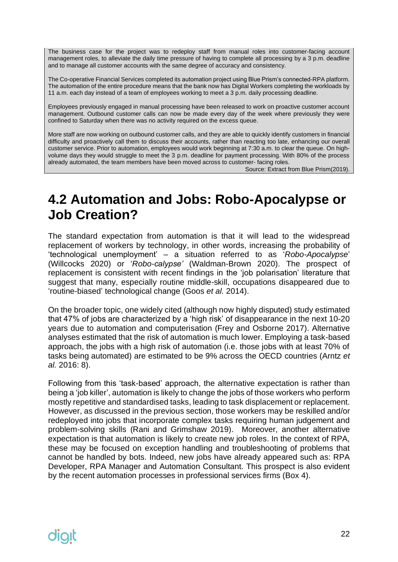The business case for the project was to redeploy staff from manual roles into customer-facing account management roles, to alleviate the daily time pressure of having to complete all processing by a 3 p.m. deadline and to manage all customer accounts with the same degree of accuracy and consistency.

The Co-operative Financial Services completed its automation project using Blue Prism's connected-RPA platform. The automation of the entire procedure means that the bank now has Digital Workers completing the workloads by 11 a.m. each day instead of a team of employees working to meet a 3 p.m. daily processing deadline.

Employees previously engaged in manual processing have been released to work on proactive customer account management. Outbound customer calls can now be made every day of the week where previously they were confined to Saturday when there was no activity required on the excess queue.

More staff are now working on outbound customer calls, and they are able to quickly identify customers in financial difficulty and proactively call them to discuss their accounts, rather than reacting too late, enhancing our overall customer service. Prior to automation, employees would work beginning at 7:30 a.m. to clear the queue. On highvolume days they would struggle to meet the 3 p.m. deadline for payment processing. With 80% of the process already automated, the team members have been moved across to customer- facing roles.

Source: Extract from Blue Prism(2019).

### <span id="page-21-0"></span>**4.2 Automation and Jobs: Robo-Apocalypse or Job Creation?**

The standard expectation from automation is that it will lead to the widespread replacement of workers by technology, in other words, increasing the probability of 'technological unemployment' – a situation referred to as '*Robo-Apocalypse*' (Willcocks 2020) or '*Robo-calypse'* (Waldman-Brown 2020). The prospect of replacement is consistent with recent findings in the 'job polarisation' literature that suggest that many, especially routine middle-skill, occupations disappeared due to 'routine-biased' technological change (Goos *et al.* 2014).

On the broader topic, one widely cited (although now highly disputed) study estimated that 47% of jobs are characterized by a 'high risk' of disappearance in the next 10-20 years due to automation and computerisation (Frey and Osborne 2017). Alternative analyses estimated that the risk of automation is much lower. Employing a task-based approach, the jobs with a high risk of automation (i.e. those jobs with at least 70% of tasks being automated) are estimated to be 9% across the OECD countries (Arntz *et al.* 2016: 8).

Following from this 'task-based' approach, the alternative expectation is rather than being a 'job killer', automation is likely to change the jobs of those workers who perform mostly repetitive and standardised tasks, leading to task displacement or replacement. However, as discussed in the previous section, those workers may be reskilled and/or redeployed into jobs that incorporate complex tasks requiring human judgement and problem-solving skills (Rani and Grimshaw 2019). Moreover, another alternative expectation is that automation is likely to create new job roles. In the context of RPA, these may be focused on exception handling and troubleshooting of problems that cannot be handled by bots. Indeed, new jobs have already appeared such as: RPA Developer, RPA Manager and Automation Consultant. This prospect is also evident by the recent automation processes in professional services firms (Box 4).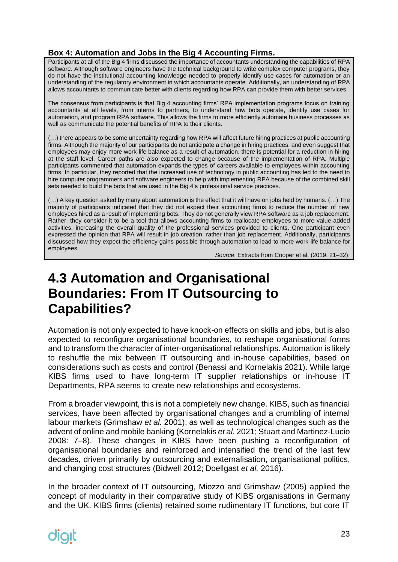#### **Box 4: Automation and Jobs in the Big 4 Accounting Firms.**

Participants at all of the Big 4 firms discussed the importance of accountants understanding the capabilities of RPA software. Although software engineers have the technical background to write complex computer programs, they do not have the institutional accounting knowledge needed to properly identify use cases for automation or an understanding of the regulatory environment in which accountants operate. Additionally, an understanding of RPA allows accountants to communicate better with clients regarding how RPA can provide them with better services.

The consensus from participants is that Big 4 accounting firms' RPA implementation programs focus on training accountants at all levels, from interns to partners, to understand how bots operate, identify use cases for automation, and program RPA software. This allows the firms to more efficiently automate business processes as well as communicate the potential benefits of RPA to their clients.

(…) there appears to be some uncertainty regarding how RPA will affect future hiring practices at public accounting firms. Although the majority of our participants do not anticipate a change in hiring practices, and even suggest that employees may enjoy more work-life balance as a result of automation, there is potential for a reduction in hiring at the staff level. Career paths are also expected to change because of the implementation of RPA. Multiple participants commented that automation expands the types of careers available to employees within accounting firms. In particular, they reported that the increased use of technology in public accounting has led to the need to hire computer programmers and software engineers to help with implementing RPA because of the combined skill sets needed to build the bots that are used in the Big 4's professional service practices.

(…) A key question asked by many about automation is the effect that it will have on jobs held by humans. (…) The majority of participants indicated that they did not expect their accounting firms to reduce the number of new employees hired as a result of implementing bots. They do not generally view RPA software as a job replacement. Rather, they consider it to be a tool that allows accounting firms to reallocate employees to more value-added activities, increasing the overall quality of the professional services provided to clients. One participant even expressed the opinion that RPA will result in job creation, rather than job replacement. Additionally, participants discussed how they expect the efficiency gains possible through automation to lead to more work-life balance for employees.

*Source*: Extracts from Cooper et al. (2019: 21–32).

#### <span id="page-22-0"></span>**4.3 Automation and Organisational Boundaries: From IT Outsourcing to Capabilities?**

Automation is not only expected to have knock-on effects on skills and jobs, but is also expected to reconfigure organisational boundaries, to reshape organisational forms and to transform the character of inter-organisational relationships. Automation is likely to reshuffle the mix between IT outsourcing and in-house capabilities, based on considerations such as costs and control (Benassi and Kornelakis 2021). While large KIBS firms used to have long-term IT supplier relationships or in-house IT Departments, RPA seems to create new relationships and ecosystems.

From a broader viewpoint, this is not a completely new change. KIBS, such as financial services, have been affected by organisational changes and a crumbling of internal labour markets (Grimshaw *et al.* 2001), as well as technological changes such as the advent of online and mobile banking (Kornelakis *et al.* 2021; Stuart and Martinez-Lucio 2008: 7–8). These changes in KIBS have been pushing a reconfiguration of organisational boundaries and reinforced and intensified the trend of the last few decades, driven primarily by outsourcing and externalisation, organisational politics, and changing cost structures (Bidwell 2012; Doellgast *et al.* 2016).

In the broader context of IT outsourcing, Miozzo and Grimshaw (2005) applied the concept of modularity in their comparative study of KIBS organisations in Germany and the UK. KIBS firms (clients) retained some rudimentary IT functions, but core IT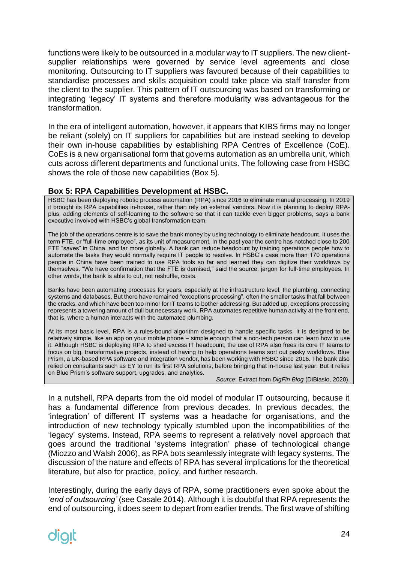functions were likely to be outsourced in a modular way to IT suppliers. The new clientsupplier relationships were governed by service level agreements and close monitoring. Outsourcing to IT suppliers was favoured because of their capabilities to standardise processes and skills acquisition could take place via staff transfer from the client to the supplier. This pattern of IT outsourcing was based on transforming or integrating 'legacy' IT systems and therefore modularity was advantageous for the transformation.

In the era of intelligent automation, however, it appears that KIBS firms may no longer be reliant (solely) on IT suppliers for capabilities but are instead seeking to develop their own in-house capabilities by establishing RPA Centres of Excellence (CoE). CoEs is a new organisational form that governs automation as an umbrella unit, which cuts across different departments and functional units. The following case from HSBC shows the role of those new capabilities (Box 5).

#### **Box 5: RPA Capabilities Development at HSBC.**

HSBC has been deploying robotic process automation (RPA) since 2016 to eliminate manual processing. In 2019 it brought its RPA capabilities in-house, rather than rely on external vendors. Now it is planning to deploy RPAplus, adding elements of self-learning to the software so that it can tackle even bigger problems, says a bank executive involved with HSBC's global transformation team.

The job of the operations centre is to save the bank money by using technology to eliminate headcount. It uses the term FTE, or "full-time employee", as its unit of measurement. In the past year the centre has notched close to 200 FTE "saves" in China, and far more globally. A bank can reduce headcount by training operations people how to automate the tasks they would normally require IT people to resolve. In HSBC's case more than 170 operations people in China have been trained to use RPA tools so far and learned they can digitize their workflows by themselves. "We have confirmation that the FTE is demised," said the source, jargon for full-time employees. In other words, the bank is able to cut, not reshuffle, costs.

Banks have been automating processes for years, especially at the infrastructure level: the plumbing, connecting systems and databases. But there have remained "exceptions processing", often the smaller tasks that fall between the cracks, and which have been too minor for IT teams to bother addressing. But added up, exceptions processing represents a towering amount of dull but necessary work. RPA automates repetitive human activity at the front end, that is, where a human interacts with the automated plumbing.

At its most basic level, RPA is a rules-bound algorithm designed to handle specific tasks. It is designed to be relatively simple, like an app on your mobile phone – simple enough that a non-tech person can learn how to use it. Although HSBC is deploying RPA to shed excess IT headcount, the use of RPA also frees its core IT teams to focus on big, transformative projects, instead of having to help operations teams sort out pesky workflows. Blue Prism, a UK-based RPA software and integration vendor, has been working with HSBC since 2016. The bank also relied on consultants such as EY to run its first RPA solutions, before bringing that in-house last year. But it relies on Blue Prism's software support, upgrades, and analytics.

*Source*: Extract from *DigFin Blog* (DiBiasio, 2020).

In a nutshell, RPA departs from the old model of modular IT outsourcing, because it has a fundamental difference from previous decades. In previous decades, the 'integration' of different IT systems was a headache for organisations, and the introduction of new technology typically stumbled upon the incompatibilities of the 'legacy' systems. Instead, RPA seems to represent a relatively novel approach that goes around the traditional 'systems integration' phase of technological change (Miozzo and Walsh 2006), as RPA bots seamlessly integrate with legacy systems. The discussion of the nature and effects of RPA has several implications for the theoretical literature, but also for practice, policy, and further research.

Interestingly, during the early days of RPA, some practitioners even spoke about the *'end of outsourcing'* (see Casale 2014). Although it is doubtful that RPA represents the end of outsourcing, it does seem to depart from earlier trends. The first wave of shifting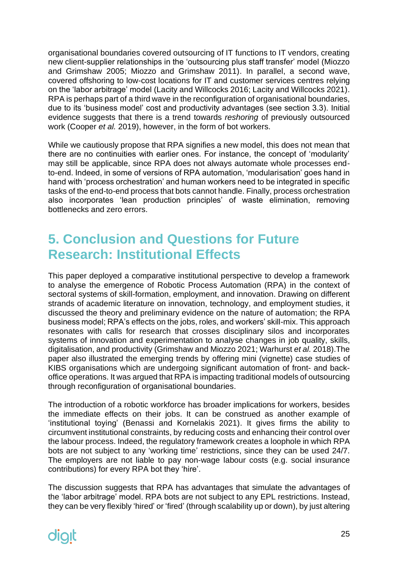organisational boundaries covered outsourcing of IT functions to IT vendors, creating new client-supplier relationships in the 'outsourcing plus staff transfer' model (Miozzo and Grimshaw 2005; Miozzo and Grimshaw 2011). In parallel, a second wave, covered offshoring to low-cost locations for IT and customer services centres relying on the 'labor arbitrage' model (Lacity and Willcocks 2016; Lacity and Willcocks 2021). RPA is perhaps part of a third wave in the reconfiguration of organisational boundaries, due to its 'business model' cost and productivity advantages (see section 3.3). Initial evidence suggests that there is a trend towards *reshoring* of previously outsourced work (Cooper *et al.* 2019), however, in the form of bot workers.

While we cautiously propose that RPA signifies a new model, this does not mean that there are no continuities with earlier ones. For instance, the concept of 'modularity' may still be applicable, since RPA does not always automate whole processes endto-end. Indeed, in some of versions of RPA automation, 'modularisation' goes hand in hand with 'process orchestration' and human workers need to be integrated in specific tasks of the end-to-end process that bots cannot handle. Finally, process orchestration also incorporates 'lean production principles' of waste elimination, removing bottlenecks and zero errors.

### <span id="page-24-0"></span>**5. Conclusion and Questions for Future Research: Institutional Effects**

This paper deployed a comparative institutional perspective to develop a framework to analyse the emergence of Robotic Process Automation (RPA) in the context of sectoral systems of skill-formation, employment, and innovation. Drawing on different strands of academic literature on innovation, technology, and employment studies, it discussed the theory and preliminary evidence on the nature of automation; the RPA business model; RPA's effects on the jobs, roles, and workers' skill-mix. This approach resonates with calls for research that crosses disciplinary silos and incorporates systems of innovation and experimentation to analyse changes in job quality, skills, digitalisation, and productivity (Grimshaw and Miozzo 2021; Warhurst *et al.* 2018).The paper also illustrated the emerging trends by offering mini (vignette) case studies of KIBS organisations which are undergoing significant automation of front- and backoffice operations. It was argued that RPA is impacting traditional models of outsourcing through reconfiguration of organisational boundaries.

The introduction of a robotic workforce has broader implications for workers, besides the immediate effects on their jobs. It can be construed as another example of 'institutional toying' (Benassi and Kornelakis 2021). It gives firms the ability to circumvent institutional constraints, by reducing costs and enhancing their control over the labour process. Indeed, the regulatory framework creates a loophole in which RPA bots are not subject to any 'working time' restrictions, since they can be used 24/7. The employers are not liable to pay non-wage labour costs (e.g. social insurance contributions) for every RPA bot they 'hire'.

The discussion suggests that RPA has advantages that simulate the advantages of the 'labor arbitrage' model. RPA bots are not subject to any EPL restrictions. Instead, they can be very flexibly 'hired' or 'fired' (through scalability up or down), by just altering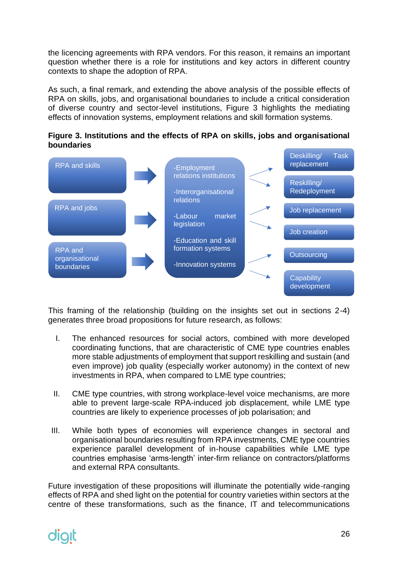the licencing agreements with RPA vendors. For this reason, it remains an important question whether there is a role for institutions and key actors in different country contexts to shape the adoption of RPA.

As such, a final remark, and extending the above analysis of the possible effects of RPA on skills, jobs, and organisational boundaries to include a critical consideration of diverse country and sector-level institutions, Figure 3 highlights the mediating effects of innovation systems, employment relations and skill formation systems.

**Figure 3. Institutions and the effects of RPA on skills, jobs and organisational boundaries**



This framing of the relationship (building on the insights set out in sections 2-4) generates three broad propositions for future research, as follows:

- I. The enhanced resources for social actors, combined with more developed coordinating functions, that are characteristic of CME type countries enables more stable adjustments of employment that support reskilling and sustain (and even improve) job quality (especially worker autonomy) in the context of new investments in RPA, when compared to LME type countries;
- II. CME type countries, with strong workplace-level voice mechanisms, are more able to prevent large-scale RPA-induced job displacement, while LME type countries are likely to experience processes of job polarisation; and
- III. While both types of economies will experience changes in sectoral and organisational boundaries resulting from RPA investments, CME type countries experience parallel development of in-house capabilities while LME type countries emphasise 'arms-length' inter-firm reliance on contractors/platforms and external RPA consultants.

Future investigation of these propositions will illuminate the potentially wide-ranging effects of RPA and shed light on the potential for country varieties within sectors at the centre of these transformations, such as the finance, IT and telecommunications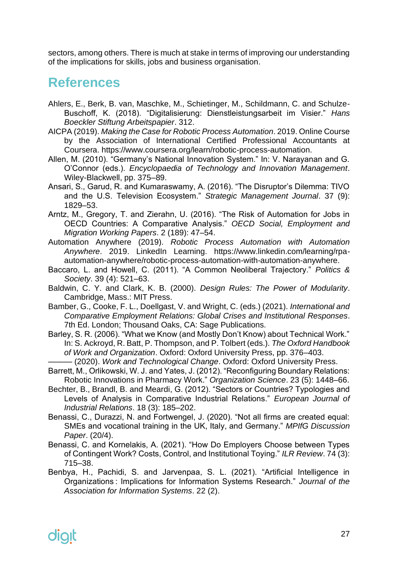sectors, among others. There is much at stake in terms of improving our understanding of the implications for skills, jobs and business organisation.

#### <span id="page-26-0"></span>**References**

- Ahlers, E., Berk, B. van, Maschke, M., Schietinger, M., Schildmann, C. and Schulze-Buschoff, K. (2018). "Digitalisierung: Dienstleistungsarbeit im Visier." *Hans Boeckler Stiftung Arbeitspapier*. 312.
- AICPA (2019). *Making the Case for Robotic Process Automation*. 2019. Online Course by the Association of International Certified Professional Accountants at Coursera. https://www.coursera.org/learn/robotic-process-automation.
- Allen, M. (2010). "Germany's National Innovation System." In: V. Narayanan and G. O'Connor (eds.). *Encyclopaedia of Technology and Innovation Management*. Wiley-Blackwell, pp. 375–89.
- Ansari, S., Garud, R. and Kumaraswamy, A. (2016). "The Disruptor's Dilemma: TIVO and the U.S. Television Ecosystem." *Strategic Management Journal*. 37 (9): 1829–53.
- Arntz, M., Gregory, T. and Zierahn, U. (2016). "The Risk of Automation for Jobs in OECD Countries: A Comparative Analysis." *OECD Social, Employment and Migration Working Papers*. 2 (189): 47–54.
- Automation Anywhere (2019). *Robotic Process Automation with Automation Anywhere*. 2019. LinkedIn Learning. https://www.linkedin.com/learning/rpaautomation-anywhere/robotic-process-automation-with-automation-anywhere.
- Baccaro, L. and Howell, C. (2011). "A Common Neoliberal Trajectory." *Politics & Society*. 39 (4): 521–63.
- Baldwin, C. Y. and Clark, K. B. (2000). *Design Rules: The Power of Modularity*. Cambridge, Mass.: MIT Press.
- Bamber, G., Cooke, F. L., Doellgast, V. and Wright, C. (eds.) (2021). *International and Comparative Employment Relations: Global Crises and Institutional Responses*. 7th Ed. London; Thousand Oaks, CA: Sage Publications.
- Barley, S. R. (2006). "What we Know (and Mostly Don't Know) about Technical Work." In: S. Ackroyd, R. Batt, P. Thompson, and P. Tolbert (eds.). *The Oxford Handbook of Work and Organization*. Oxford: Oxford University Press, pp. 376–403.
- ——— (2020). *Work and Technological Change*. Oxford: Oxford University Press. Barrett, M., Orlikowski, W. J. and Yates, J. (2012). "Reconfiguring Boundary Relations: Robotic Innovations in Pharmacy Work." *Organization Science*. 23 (5): 1448–66.
- Bechter, B., Brandl, B. and Meardi, G. (2012). "Sectors or Countries? Typologies and Levels of Analysis in Comparative Industrial Relations." *European Journal of Industrial Relations*. 18 (3): 185–202.
- Benassi, C., Durazzi, N. and Fortwengel, J. (2020). "Not all firms are created equal: SMEs and vocational training in the UK, Italy, and Germany." *MPIfG Discussion Paper*. (20/4).
- Benassi, C. and Kornelakis, A. (2021). "How Do Employers Choose between Types of Contingent Work? Costs, Control, and Institutional Toying." *ILR Review*. 74 (3): 715–38.
- Benbya, H., Pachidi, S. and Jarvenpaa, S. L. (2021). "Artificial Intelligence in Organizations : Implications for Information Systems Research." *Journal of the Association for Information Systems*. 22 (2).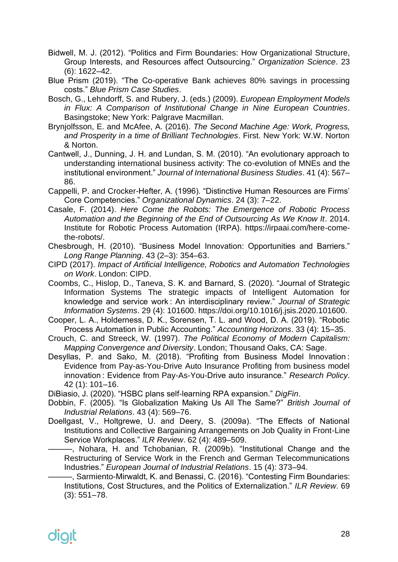- Bidwell, M. J. (2012). "Politics and Firm Boundaries: How Organizational Structure, Group Interests, and Resources affect Outsourcing." *Organization Science*. 23 (6): 1622–42.
- Blue Prism (2019). "The Co-operative Bank achieves 80% savings in processing costs." *Blue Prism Case Studies*.
- Bosch, G., Lehndorff, S. and Rubery, J. (eds.) (2009). *European Employment Models in Flux: A Comparison of Institutional Change in Nine European Countries*. Basingstoke; New York: Palgrave Macmillan.
- Brynjolfsson, E. and McAfee, A. (2016). *The Second Machine Age: Work, Progress, and Prosperity in a time of Brilliant Technologies*. First. New York: W.W. Norton & Norton.
- Cantwell, J., Dunning, J. H. and Lundan, S. M. (2010). "An evolutionary approach to understanding international business activity: The co-evolution of MNEs and the institutional environment." *Journal of International Business Studies*. 41 (4): 567– 86.
- Cappelli, P. and Crocker-Hefter, A. (1996). "Distinctive Human Resources are Firms' Core Competencies." *Organizational Dynamics*. 24 (3): 7–22.
- Casale, F. (2014). *Here Come the Robots: The Emergence of Robotic Process Automation and the Beginning of the End of Outsourcing As We Know It*. 2014. Institute for Robotic Process Automation (IRPA). https://irpaai.com/here-comethe-robots/.
- Chesbrough, H. (2010). "Business Model Innovation: Opportunities and Barriers." *Long Range Planning*. 43 (2–3): 354–63.
- CIPD (2017). *Impact of Artificial Intelligence, Robotics and Automation Technologies on Work*. London: CIPD.
- Coombs, C., Hislop, D., Taneva, S. K. and Barnard, S. (2020). "Journal of Strategic Information Systems The strategic impacts of Intelligent Automation for knowledge and service work : An interdisciplinary review." *Journal of Strategic Information Systems*. 29 (4): 101600. https://doi.org/10.1016/j.jsis.2020.101600.
- Cooper, L. A., Holderness, D. K., Sorensen, T. L. and Wood, D. A. (2019). "Robotic Process Automation in Public Accounting." *Accounting Horizons*. 33 (4): 15–35.
- Crouch, C. and Streeck, W. (1997). *The Political Economy of Modern Capitalism: Mapping Convergence and Diversity*. London; Thousand Oaks, CA: Sage.
- Desyllas, P. and Sako, M. (2018). "Profiting from Business Model Innovation : Evidence from Pay-as-You-Drive Auto Insurance Profiting from business model innovation : Evidence from Pay-As-You-Drive auto insurance." *Research Policy*. 42 (1): 101–16.

DiBiasio, J. (2020). "HSBC plans self-learning RPA expansion." *DigFin*.

- Dobbin, F. (2005). "Is Globalization Making Us All The Same?" *British Journal of Industrial Relations*. 43 (4): 569–76.
- Doellgast, V., Holtgrewe, U. and Deery, S. (2009a). "The Effects of National Institutions and Collective Bargaining Arrangements on Job Quality in Front-Line Service Workplaces." *ILR Review*. 62 (4): 489–509.
	- ———, Nohara, H. and Tchobanian, R. (2009b). "Institutional Change and the Restructuring of Service Work in the French and German Telecommunications Industries." *European Journal of Industrial Relations*. 15 (4): 373–94.
	- ———, Sarmiento-Mirwaldt, K. and Benassi, C. (2016). "Contesting Firm Boundaries: Institutions, Cost Structures, and the Politics of Externalization." *ILR Review*. 69 (3): 551–78.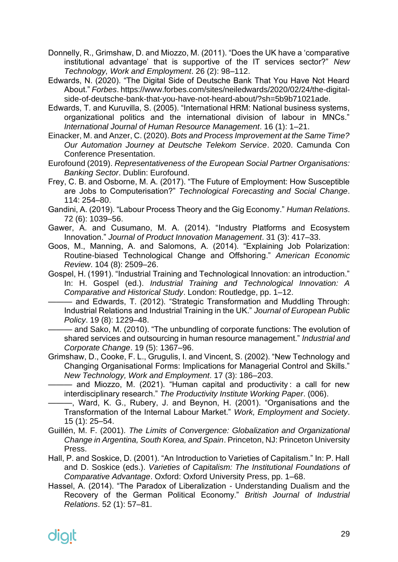- Donnelly, R., Grimshaw, D. and Miozzo, M. (2011). "Does the UK have a 'comparative institutional advantage' that is supportive of the IT services sector?" *New Technology, Work and Employment*. 26 (2): 98–112.
- Edwards, N. (2020). "The Digital Side of Deutsche Bank That You Have Not Heard About." *Forbes*. https://www.forbes.com/sites/neiledwards/2020/02/24/the-digitalside-of-deutsche-bank-that-you-have-not-heard-about/?sh=5b9b71021ade.
- Edwards, T. and Kuruvilla, S. (2005). "International HRM: National business systems, organizational politics and the international division of labour in MNCs." *International Journal of Human Resource Management*. 16 (1): 1–21.
- Einacker, M. and Anzer, C. (2020). *Bots and Process Improvement at the Same Time? Our Automation Journey at Deutsche Telekom Service*. 2020. Camunda Con Conference Presentation.
- Eurofound (2019). *Representativeness of the European Social Partner Organisations: Banking Sector*. Dublin: Eurofound.
- Frey, C. B. and Osborne, M. A. (2017). "The Future of Employment: How Susceptible are Jobs to Computerisation?" *Technological Forecasting and Social Change*. 114: 254–80.
- Gandini, A. (2019). "Labour Process Theory and the Gig Economy." *Human Relations*. 72 (6): 1039–56.
- Gawer, A. and Cusumano, M. A. (2014). "Industry Platforms and Ecosystem Innovation." *Journal of Product Innovation Management*. 31 (3): 417–33.
- Goos, M., Manning, A. and Salomons, A. (2014). "Explaining Job Polarization: Routine-biased Technological Change and Offshoring." *American Economic Review*. 104 (8): 2509–26.
- Gospel, H. (1991). "Industrial Training and Technological Innovation: an introduction." In: H. Gospel (ed.). *Industrial Training and Technological Innovation: A Comparative and Historical Study*. London: Routledge, pp. 1–12.
	- ——— and Edwards, T. (2012). "Strategic Transformation and Muddling Through: Industrial Relations and Industrial Training in the UK." *Journal of European Public Policy*. 19 (8): 1229–48.

——— and Sako, M. (2010). "The unbundling of corporate functions: The evolution of shared services and outsourcing in human resource management." *Industrial and Corporate Change*. 19 (5): 1367–96.

- Grimshaw, D., Cooke, F. L., Grugulis, I. and Vincent, S. (2002). "New Technology and Changing Organisational Forms: Implications for Managerial Control and Skills." *New Technology, Work and Employment*. 17 (3): 186–203.
	- ——— and Miozzo, M. (2021). "Human capital and productivity : a call for new interdisciplinary research." *The Productivity Institute Working Paper*. (006).
- ———, Ward, K. G., Rubery, J. and Beynon, H. (2001). "Organisations and the Transformation of the Internal Labour Market." *Work, Employment and Society*. 15 (1): 25–54.
- Guillén, M. F. (2001). *The Limits of Convergence: Globalization and Organizational Change in Argentina, South Korea, and Spain*. Princeton, NJ: Princeton University Press.
- Hall, P. and Soskice, D. (2001). "An Introduction to Varieties of Capitalism." In: P. Hall and D. Soskice (eds.). *Varieties of Capitalism: The Institutional Foundations of Comparative Advantage*. Oxford: Oxford University Press, pp. 1–68.
- Hassel, A. (2014). "The Paradox of Liberalization Understanding Dualism and the Recovery of the German Political Economy." *British Journal of Industrial Relations*. 52 (1): 57–81.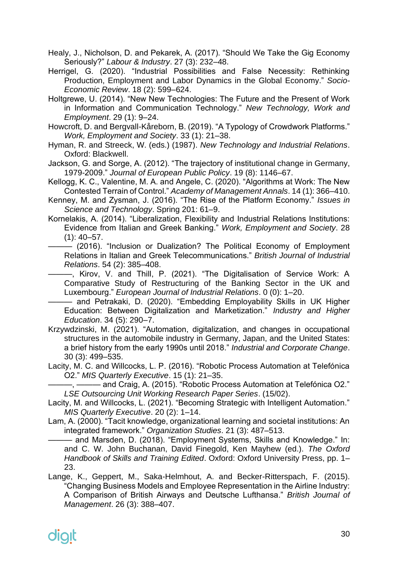- Healy, J., Nicholson, D. and Pekarek, A. (2017). "Should We Take the Gig Economy Seriously?" *Labour & Industry*. 27 (3): 232–48.
- Herrigel, G. (2020). "Industrial Possibilities and False Necessity: Rethinking Production, Employment and Labor Dynamics in the Global Economy." *Socio-Economic Review*. 18 (2): 599–624.
- Holtgrewe, U. (2014). "New New Technologies: The Future and the Present of Work in Information and Communication Technology." *New Technology, Work and Employment*. 29 (1): 9–24.
- Howcroft, D. and Bergvall-Kåreborn, B. (2019). "A Typology of Crowdwork Platforms." *Work, Employment and Society*. 33 (1): 21–38.
- Hyman, R. and Streeck, W. (eds.) (1987). *New Technology and Industrial Relations*. Oxford: Blackwell.
- Jackson, G. and Sorge, A. (2012). "The trajectory of institutional change in Germany, 1979-2009." *Journal of European Public Policy*. 19 (8): 1146–67.
- Kellogg, K. C., Valentine, M. A. and Angele, C. (2020). "Algorithms at Work: The New Contested Terrain of Control." *Academy of Management Annals*. 14 (1): 366–410.
- Kenney, M. and Zysman, J. (2016). "The Rise of the Platform Economy." *Issues in Science and Technology*. Spring 201: 61–9.
- Kornelakis, A. (2014). "Liberalization, Flexibility and Industrial Relations Institutions: Evidence from Italian and Greek Banking." *Work, Employment and Society*. 28  $(1): 40 - 57.$
- (2016). "Inclusion or Dualization? The Political Economy of Employment Relations in Italian and Greek Telecommunications." *British Journal of Industrial Relations*. 54 (2): 385–408.

—, Kirov, V. and Thill, P. (2021). "The Digitalisation of Service Work: A Comparative Study of Restructuring of the Banking Sector in the UK and Luxembourg." *European Journal of Industrial Relations*. 0 (0): 1–20.

——— and Petrakaki, D. (2020). "Embedding Employability Skills in UK Higher Education: Between Digitalization and Marketization." *Industry and Higher Education*. 34 (5): 290–7.

- Krzywdzinski, M. (2021). "Automation, digitalization, and changes in occupational structures in the automobile industry in Germany, Japan, and the United States: a brief history from the early 1990s until 2018." *Industrial and Corporate Change*. 30 (3): 499–535.
- Lacity, M. C. and Willcocks, L. P. (2016). "Robotic Process Automation at Telefónica O2." *MIS Quarterly Executive*. 15 (1): 21–35.

———, ——— and Craig, A. (2015). "Robotic Process Automation at Telefónica O2." *LSE Outsourcing Unit Working Research Paper Series*. (15/02).

- Lacity, M. and Willcocks, L. (2021). "Becoming Strategic with Intelligent Automation." *MIS Quarterly Executive*. 20 (2): 1–14.
- Lam, A. (2000). "Tacit knowledge, organizational learning and societal institutions: An integrated framework." *Organization Studies*. 21 (3): 487–513.
	- ——— and Marsden, D. (2018). "Employment Systems, Skills and Knowledge." In: and C. W. John Buchanan, David Finegold, Ken Mayhew (ed.). *The Oxford Handbook of Skills and Training Edited*. Oxford: Oxford University Press, pp. 1– 23.
- Lange, K., Geppert, M., Saka-Helmhout, A. and Becker-Ritterspach, F. (2015). "Changing Business Models and Employee Representation in the Airline Industry: A Comparison of British Airways and Deutsche Lufthansa." *British Journal of Management*. 26 (3): 388–407.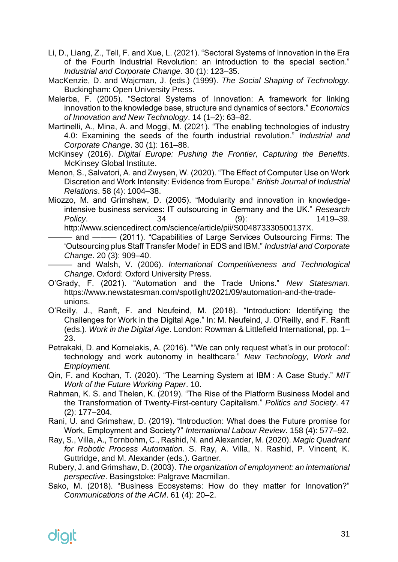- Li, D., Liang, Z., Tell, F. and Xue, L. (2021). "Sectoral Systems of Innovation in the Era of the Fourth Industrial Revolution: an introduction to the special section." *Industrial and Corporate Change*. 30 (1): 123–35.
- MacKenzie, D. and Wajcman, J. (eds.) (1999). *The Social Shaping of Technology*. Buckingham: Open University Press.
- Malerba, F. (2005). "Sectoral Systems of Innovation: A framework for linking innovation to the knowledge base, structure and dynamics of sectors." *Economics of Innovation and New Technology*. 14 (1–2): 63–82.
- Martinelli, A., Mina, A. and Moggi, M. (2021). "The enabling technologies of industry 4.0: Examining the seeds of the fourth industrial revolution." *Industrial and Corporate Change*. 30 (1): 161–88.
- McKinsey (2016). *Digital Europe: Pushing the Frontier, Capturing the Benefits*. McKinsey Global Institute.
- Menon, S., Salvatori, A. and Zwysen, W. (2020). "The Effect of Computer Use on Work Discretion and Work Intensity: Evidence from Europe." *British Journal of Industrial Relations*. 58 (4): 1004–38.
- Miozzo, M. and Grimshaw, D. (2005). "Modularity and innovation in knowledgeintensive business services: IT outsourcing in Germany and the UK." *Research Policy*. 34 (9): 1419–39. http://www.sciencedirect.com/science/article/pii/S004873330500137X.
- and ——— (2011). "Capabilities of Large Services Outsourcing Firms: The 'Outsourcing plus Staff Transfer Model' in EDS and IBM." *Industrial and Corporate Change*. 20 (3): 909–40.
- ——— and Walsh, V. (2006). *International Competitiveness and Technological Change*. Oxford: Oxford University Press.
- O'Grady, F. (2021). "Automation and the Trade Unions." *New Statesman*. https://www.newstatesman.com/spotlight/2021/09/automation-and-the-tradeunions.
- O'Reilly, J., Ranft, F. and Neufeind, M. (2018). "Introduction: Identifying the Challenges for Work in the Digital Age." In: M. Neufeind, J. O'Reilly, and F. Ranft (eds.). *Work in the Digital Age*. London: Rowman & Littlefield International, pp. 1– 23.
- Petrakaki, D. and Kornelakis, A. (2016). "'We can only request what's in our protocol': technology and work autonomy in healthcare." *New Technology, Work and Employment*.
- Qin, F. and Kochan, T. (2020). "The Learning System at IBM : A Case Study." *MIT Work of the Future Working Paper*. 10.
- Rahman, K. S. and Thelen, K. (2019). "The Rise of the Platform Business Model and the Transformation of Twenty-First-century Capitalism." *Politics and Society*. 47 (2): 177–204.
- Rani, U. and Grimshaw, D. (2019). "Introduction: What does the Future promise for Work, Employment and Society?" *International Labour Review*. 158 (4): 577–92.
- Ray, S., Villa, A., Tornbohm, C., Rashid, N. and Alexander, M. (2020). *Magic Quadrant for Robotic Process Automation*. S. Ray, A. Villa, N. Rashid, P. Vincent, K. Guttridge, and M. Alexander (eds.). Gartner.
- Rubery, J. and Grimshaw, D. (2003). *The organization of employment: an international perspective*. Basingstoke: Palgrave Macmillan.
- Sako, M. (2018). "Business Ecosystems: How do they matter for Innovation?" *Communications of the ACM*. 61 (4): 20–2.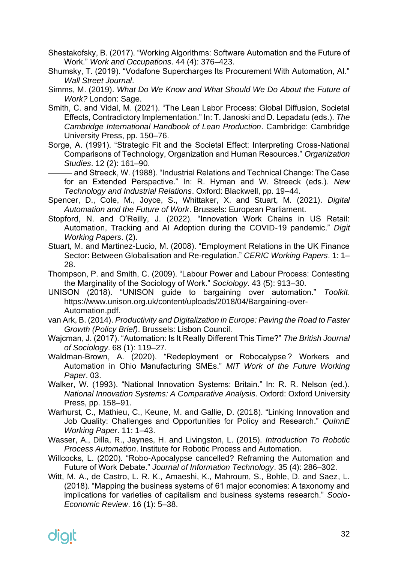- Shestakofsky, B. (2017). "Working Algorithms: Software Automation and the Future of Work." *Work and Occupations*. 44 (4): 376–423.
- Shumsky, T. (2019). "Vodafone Supercharges Its Procurement With Automation, AI." *Wall Street Journal*.
- Simms, M. (2019). *What Do We Know and What Should We Do About the Future of Work?* London: Sage.
- Smith, C. and Vidal, M. (2021). "The Lean Labor Process: Global Diffusion, Societal Effects, Contradictory Implementation." In: T. Janoski and D. Lepadatu (eds.). *The Cambridge International Handbook of Lean Production*. Cambridge: Cambridge University Press, pp. 150–76.
- Sorge, A. (1991). "Strategic Fit and the Societal Effect: Interpreting Cross-National Comparisons of Technology, Organization and Human Resources." *Organization Studies*. 12 (2): 161–90.

——— and Streeck, W. (1988). "Industrial Relations and Technical Change: The Case for an Extended Perspective." In: R. Hyman and W. Streeck (eds.). *New Technology and Industrial Relations*. Oxford: Blackwell, pp. 19–44.

- Spencer, D., Cole, M., Joyce, S., Whittaker, X. and Stuart, M. (2021). *Digital Automation and the Future of Work*. Brussels: European Parliament.
- Stopford, N. and O'Reilly, J. (2022). "Innovation Work Chains in US Retail: Automation, Tracking and AI Adoption during the COVID-19 pandemic." *Digit Working Papers*. (2).
- Stuart, M. and Martinez-Lucio, M. (2008). "Employment Relations in the UK Finance Sector: Between Globalisation and Re-regulation." *CERIC Working Papers*. 1: 1– 28.
- Thompson, P. and Smith, C. (2009). "Labour Power and Labour Process: Contesting the Marginality of the Sociology of Work." *Sociology*. 43 (5): 913–30.
- UNISON (2018). "UNISON guide to bargaining over automation." *Toolkit*. https://www.unison.org.uk/content/uploads/2018/04/Bargaining-over-Automation.pdf.
- van Ark, B. (2014). *Productivity and Digitalization in Europe: Paving the Road to Faster Growth (Policy Brief)*. Brussels: Lisbon Council.
- Wajcman, J. (2017). "Automation: Is It Really Different This Time?" *The British Journal of Sociology*. 68 (1): 119–27.
- Waldman-Brown, A. (2020). "Redeployment or Robocalypse? Workers and Automation in Ohio Manufacturing SMEs." *MIT Work of the Future Working Paper*. 03.
- Walker, W. (1993). "National Innovation Systems: Britain." In: R. R. Nelson (ed.). *National Innovation Systems: A Comparative Analysis*. Oxford: Oxford University Press, pp. 158–91.
- Warhurst, C., Mathieu, C., Keune, M. and Gallie, D. (2018). "Linking Innovation and Job Quality: Challenges and Opportunities for Policy and Research." *QuInnE Working Paper*. 11: 1–43.
- Wasser, A., Dilla, R., Jaynes, H. and Livingston, L. (2015). *Introduction To Robotic Process Automation*. Institute for Robotic Process and Automation.
- Willcocks, L. (2020). "Robo-Apocalypse cancelled? Reframing the Automation and Future of Work Debate." *Journal of Information Technology*. 35 (4): 286–302.
- Witt, M. A., de Castro, L. R. K., Amaeshi, K., Mahroum, S., Bohle, D. and Saez, L. (2018). "Mapping the business systems of 61 major economies: A taxonomy and implications for varieties of capitalism and business systems research." *Socio-Economic Review*. 16 (1): 5–38.